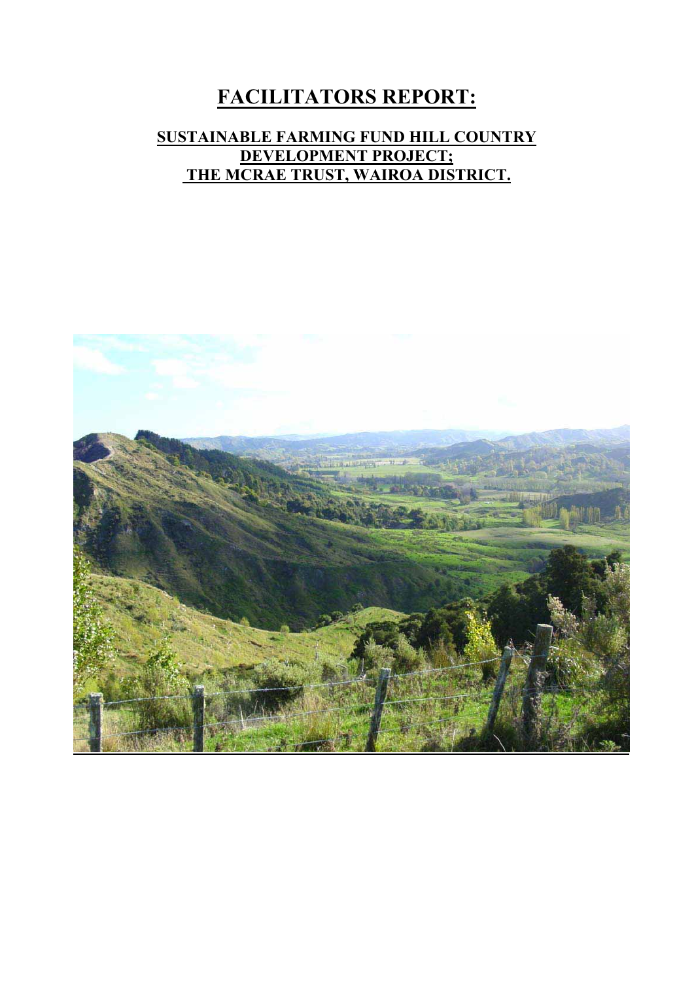# **FACILITATORS REPORT:**

## **SUSTAINABLE FARMING FUND HILL COUNTRY DEVELOPMENT PROJECT; THE MCRAE TRUST, WAIROA DISTRICT.**

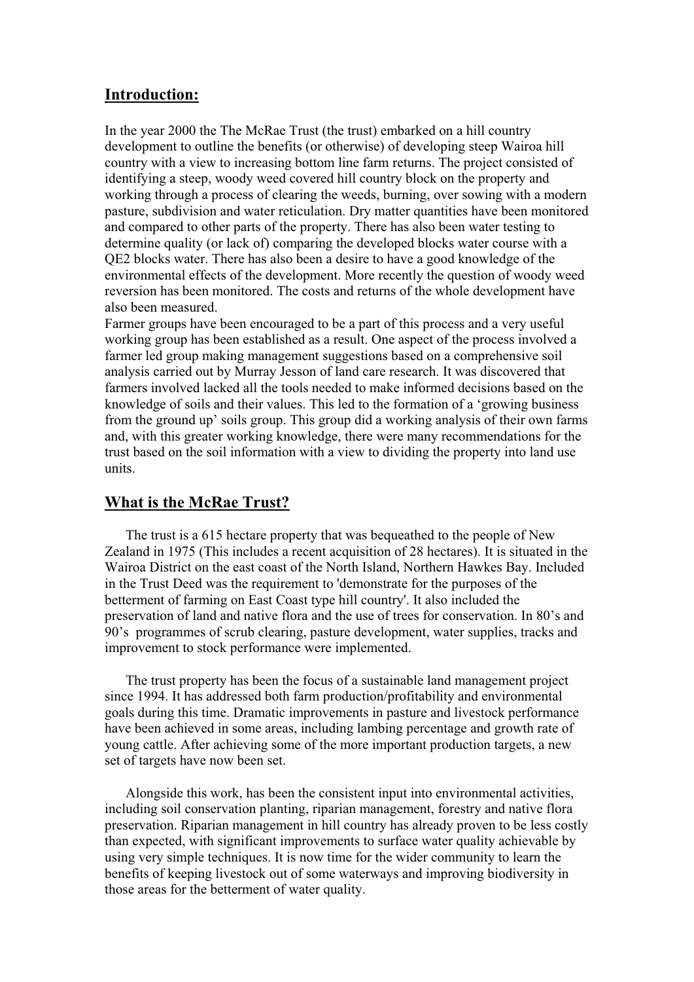#### **Introduction:**

In the year 2000 the The McRae Trust (the trust) embarked on a hill country development to outline the benefits (or otherwise) of developing steep Wairoa hill country with a view to increasing bottom line farm returns. The project consisted of identifying a steep, woody weed covered hill country block on the property and working through a process of clearing the weeds, burning, over sowing with a modern pasture, subdivision and water reticulation. Dry matter quantities have been monitored and compared to other parts of the property. There has also been water testing to determine quality (or lack of) comparing the developed blocks water course with a QE2 blocks water. There has also been a desire to have a good knowledge of the environmental effects of the development. More recently the question of woody weed reversion has been monitored. The costs and returns of the whole development have also been measured.

Farmer groups have been encouraged to be a part of this process and a very useful working group has been established as a result. One aspect of the process involved a farmer led group making management suggestions based on a comprehensive soil analysis carried out by Murray Jesson of land care research. It was discovered that farmers involved lacked all the tools needed to make informed decisions based on the knowledge of soils and their values. This led to the formation of a 'growing business from the ground up' soils group. This group did a working analysis of their own farms and, with this greater working knowledge, there were many recommendations for the trust based on the soil information with a view to dividing the property into land use units.

#### **What is the McRae Trust?**

 The trust is a 615 hectare property that was bequeathed to the people of New Zealand in 1975 (This includes a recent acquisition of 28 hectares). It is situated in the Wairoa District on the east coast of the North Island, Northern Hawkes Bay. Included in the Trust Deed was the requirement to 'demonstrate for the purposes of the betterment of farming on East Coast type hill country'. It also included the preservation of land and native flora and the use of trees for conservation. In 80's and 90's programmes of scrub clearing, pasture development, water supplies, tracks and improvement to stock performance were implemented.

 The trust property has been the focus of a sustainable land management project since 1994. It has addressed both farm production/profitability and environmental goals during this time. Dramatic improvements in pasture and livestock performance have been achieved in some areas, including lambing percentage and growth rate of young cattle. After achieving some of the more important production targets, a new set of targets have now been set.

 Alongside this work, has been the consistent input into environmental activities, including soil conservation planting, riparian management, forestry and native flora preservation. Riparian management in hill country has already proven to be less costly than expected, with significant improvements to surface water quality achievable by using very simple techniques. It is now time for the wider community to learn the benefits of keeping livestock out of some waterways and improving biodiversity in those areas for the betterment of water quality.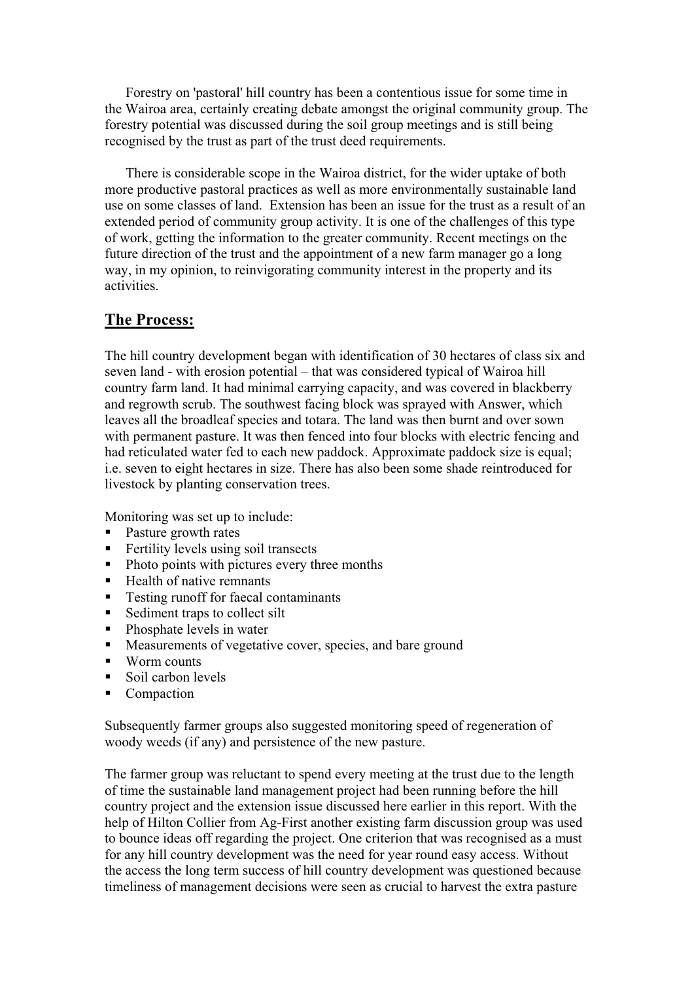Forestry on 'pastoral' hill country has been a contentious issue for some time in the Wairoa area, certainly creating debate amongst the original community group. The forestry potential was discussed during the soil group meetings and is still being recognised by the trust as part of the trust deed requirements.

 There is considerable scope in the Wairoa district, for the wider uptake of both more productive pastoral practices as well as more environmentally sustainable land use on some classes of land. Extension has been an issue for the trust as a result of an extended period of community group activity. It is one of the challenges of this type of work, getting the information to the greater community. Recent meetings on the future direction of the trust and the appointment of a new farm manager go a long way, in my opinion, to reinvigorating community interest in the property and its activities.

#### **The Process:**

The hill country development began with identification of 30 hectares of class six and seven land - with erosion potential – that was considered typical of Wairoa hill country farm land. It had minimal carrying capacity, and was covered in blackberry and regrowth scrub. The southwest facing block was sprayed with Answer, which leaves all the broadleaf species and totara. The land was then burnt and over sown with permanent pasture. It was then fenced into four blocks with electric fencing and had reticulated water fed to each new paddock. Approximate paddock size is equal; i.e. seven to eight hectares in size. There has also been some shade reintroduced for livestock by planting conservation trees.

Monitoring was set up to include:

- Pasture growth rates
- Fertility levels using soil transects
- Photo points with pictures every three months
- $\blacksquare$  Health of native remnants
- Testing runoff for faecal contaminants
- Sediment traps to collect silt
- Phosphate levels in water
- Measurements of vegetative cover, species, and bare ground
- Worm counts
- Soil carbon levels
- Compaction

Subsequently farmer groups also suggested monitoring speed of regeneration of woody weeds (if any) and persistence of the new pasture.

The farmer group was reluctant to spend every meeting at the trust due to the length of time the sustainable land management project had been running before the hill country project and the extension issue discussed here earlier in this report. With the help of Hilton Collier from Ag-First another existing farm discussion group was used to bounce ideas off regarding the project. One criterion that was recognised as a must for any hill country development was the need for year round easy access. Without the access the long term success of hill country development was questioned because timeliness of management decisions were seen as crucial to harvest the extra pasture